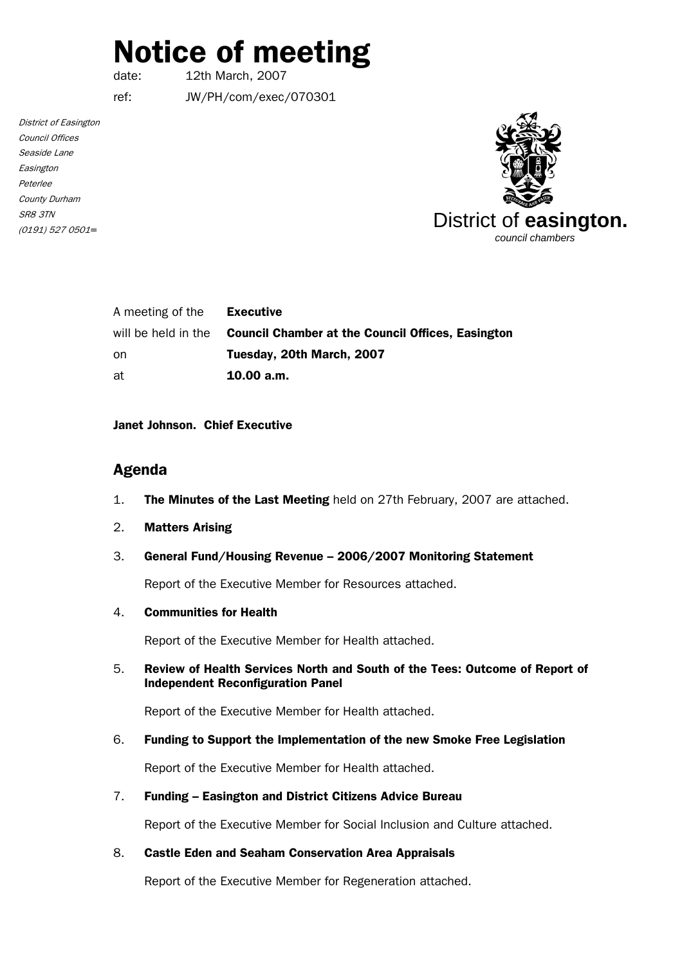# Notice of meeting

date: 12th March, 2007

ref: JW/PH/com/exec/070301

District of Easington Council Offices Seaside Lane Easington Peterlee County Durham SR8 3TN (0191) 527 0501*=*



| A meeting of the    | Executive                                                |
|---------------------|----------------------------------------------------------|
| will be held in the | <b>Council Chamber at the Council Offices, Easington</b> |
| -on                 | Tuesday, 20th March, 2007                                |
| at                  | 10.00 a.m.                                               |

#### Janet Johnson. Chief Executive

# Agenda

- 1. The Minutes of the Last Meeting held on 27th February, 2007 are attached.
- 2. Matters Arising
- 3. General Fund/Housing Revenue 2006/2007 Monitoring Statement

Report of the Executive Member for Resources attached.

4. Communities for Health

Report of the Executive Member for Health attached.

5. Review of Health Services North and South of the Tees: Outcome of Report of Independent Reconfiguration Panel

Report of the Executive Member for Health attached.

6. Funding to Support the Implementation of the new Smoke Free Legislation

Report of the Executive Member for Health attached.

7. Funding – Easington and District Citizens Advice Bureau

Report of the Executive Member for Social Inclusion and Culture attached.

8. Castle Eden and Seaham Conservation Area Appraisals

Report of the Executive Member for Regeneration attached.